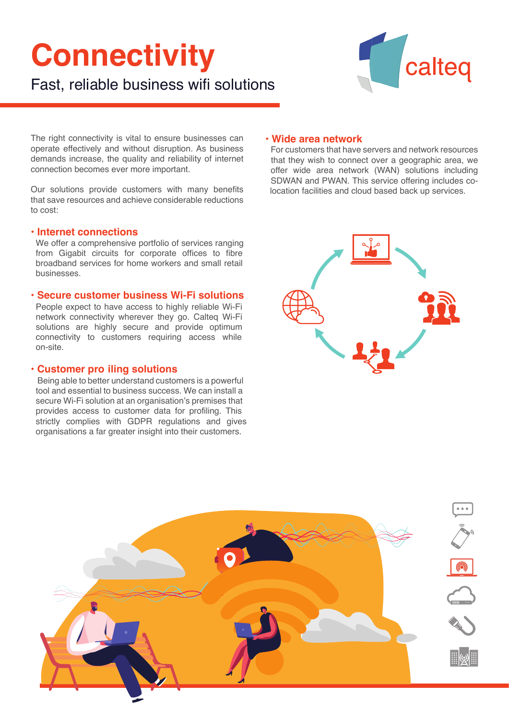# **Connectivity**



Fast, reliable business wifi solutions

The right connectivity is vital to ensure businesses can operate effectively and without disruption. As business demands increase, the quality and reliability of internet connection becomes ever more important.

Our solutions provide customers with many benefits that save resources and achieve considerable reductions to cost:

## **• Internet connections**

We offer a comprehensive portfolio of services ranging from Gigabit circuits for corporate offices to fibre broadband services for home workers and small retail businesses.

## **• Secure customer business Wi-Fi solutions**

People expect to have access to highly reliable Wi-Fi network connectivity wherever they go. Calteq Wi-Fi solutions are highly secure and provide optimum connectivity to customers requiring access while on-site.

# **• Customer pro iling solutions**

 Being able to better understand customers is a powerful tool and essential to business success. We can install a secure Wi-Fi solution at an organisation's premises that provides access to customer data for profiling. This strictly complies with GDPR regulations and gives organisations a far greater insight into their customers.

# **• Wide area network**

For customers that have servers and network resources that they wish to connect over a geographic area, we offer wide area network (WAN) solutions including SDWAN and PWAN. This service offering includes co location facilities and cloud based back up services.